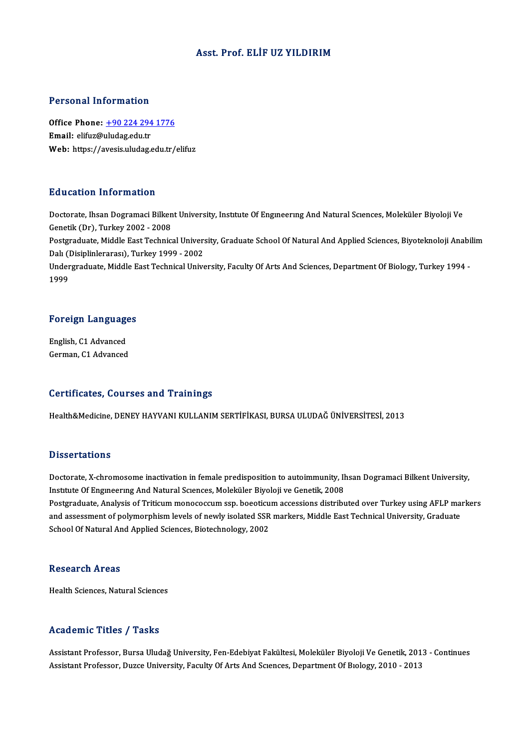#### Asst. Prof. ELİF UZ YILDIRIM

#### Personal Information

Personal Information<br>Office Phone: <u>+90 224 294 1776</u><br>Email: elify@uludes.edu.tr Procession and Community<br>Office Phone: <u>+90 224 294</u><br>Email: elifuz@uludag.edu.tr Email: elifuz@uludag.edu.tr<br>Web: https://a[vesis.uludag.edu.tr/](tel:+90 224 294 1776)elifuz

#### Education Information

Doctorate, Ihsan Dogramaci Bilkent University, Institute Of Engineering And Natural Sciences, Moleküler Biyoloji Ve Genetik(Dr),Turkey2002 -2008 Doctorate, Ihsan Dogramaci Bilkent University, Institute Of Engmeering And Natural Sciences, Moleküler Biyoloji Ve<br>Genetik (Dr), Turkey 2002 - 2008<br>Postgraduate, Middle East Technical University, Graduate School Of Natural Genetik (Dr), Turkey 2002 - 2008<br>Postgraduate, Middle East Technical Univer:<br>Dalı (Disiplinlerarası), Turkey 1999 - 2002<br>Undergraduate Middle East Technical Unive Postgraduate, Middle East Technical University, Graduate School Of Natural And Applied Sciences, Biyoteknoloji Anabi<br>Dalı (Disiplinlerarası), Turkey 1999 - 2002<br>Undergraduate, Middle East Technical University, Faculty Of A Dalı (1<br>Under<br>1999

# 1<sup>999</sup><br>Foreign Languages

Foreign Language<br>English, C1 Advanced<br>Carman C1 Advanced English, C1 Advanced<br>German, C1 Advanced

#### Certificates, Courses and Trainings

Health&Medicine,DENEYHAYVANIKULLANIMSERTİFİKASI,BURSAULUDAĞÜNİVERSİTESİ,2013

#### **Dissertations**

Doctorate, X-chromosome inactivation in female predisposition to autoimmunity, Ihsan Dogramaci Bilkent University, Institute Of Engineering And Natural Sciences, Moleküler Biyoloji ve Genetik, 2008 Doctorate, X-chromosome inactivation in female predisposition to autoimmunity, Ihsan Dogramaci Bilkent University,<br>Institute Of Engineering And Natural Sciences, Moleküler Biyoloji ve Genetik, 2008<br>Postgraduate, Analysis o Institute Of Engineering And Natural Sciences, Moleküler Biyoloji ve Genetik, 2008<br>Postgraduate, Analysis of Triticum monococcum ssp. boeoticum accessions distributed over Turkey using AFLP mai<br>and assessment of polymorphi Postgraduate, Analysis of Triticum monococcum ssp. boeoticu<br>and assessment of polymorphism levels of newly isolated SSR<br>School Of Natural And Applied Sciences, Biotechnology, 2002 School Of Natural And Applied Sciences, Biotechnology, 2002<br>Research Areas

Health Sciences, Natural Sciences

#### Academic Titles / Tasks

Assistant Professor, Bursa Uludağ University, Fen-Edebiyat Fakültesi, Moleküler Biyoloji Ve Genetik, 2013 - Continues Assistant Professor, Duzce University, Faculty Of Arts And Sciences, Department Of Biology, 2010 - 2013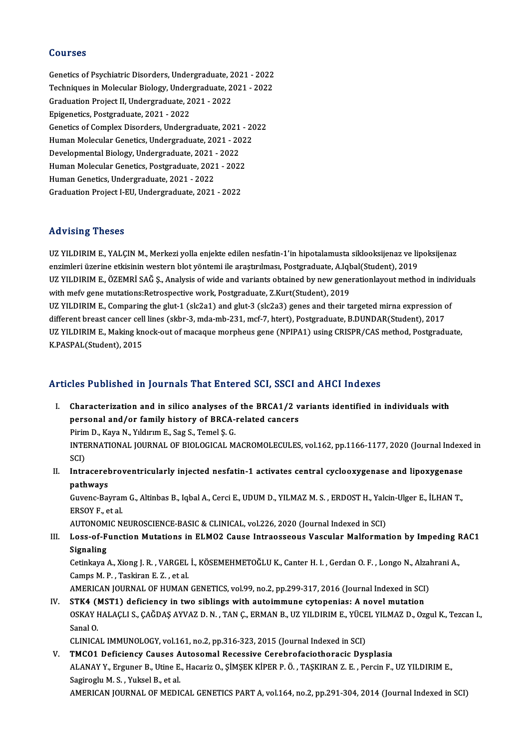#### Courses

Courses<br>Genetics of Psychiatric Disorders, Undergraduate, 2021 - 2022<br>Techniques in Molecular Biology, Undergraduate, 2021, 2022 Sources<br>Genetics of Psychiatric Disorders, Undergraduate, 2021 - 2022<br>Techniques in Molecular Biology, Undergraduate, 2021 - 2022<br>Creduation Preject II Undergraduate, 2021 - 2022 Genetics of Psychiatric Disorders, Undergraduate, 2<br>Techniques in Molecular Biology, Undergraduate, 2<br>Graduation Project II, Undergraduate, 2021 - 2022<br>Enigonaties, Bestspaduate, 2021 - 2022 Techniques in Molecular Biology, Under<br>Graduation Project II, Undergraduate, 2<br>Epigenetics, Postgraduate, 2021 - 2022<br>Constige of Compley Disordors, Undergr Epigenetics, Postgraduate, 2021 - 2022<br>Genetics of Complex Disorders, Undergraduate, 2021 - 2022 Epigenetics, Postgraduate, 2021 - 2022<br>Genetics of Complex Disorders, Undergraduate, 2021 - 20<br>Human Molecular Genetics, Undergraduate, 2021 - 2022<br>Pevelopmental Biology, Undergraduate, 2021 - 2022 Genetics of Complex Disorders, Undergraduate, 2021<br>Human Molecular Genetics, Undergraduate, 2021 - 20<br>Developmental Biology, Undergraduate, 2021 - 2022<br>Human Molecular Constice, Bestanduate, 2021 - 2022 Human Molecular Genetics, Undergraduate, 2021 - 202<br>Developmental Biology, Undergraduate, 2021 - 2022<br>Human Molecular Genetics, Postgraduate, 2021 - 2022<br>Human Conetics, Undergraduate, 2021 - 2022 Developmental Biology, Undergraduate, 2021 - 2022<br>Human Molecular Genetics, Postgraduate, 2021 - 2022<br>Human Genetics, Undergraduate, 2021 - 2022 GraduationProject I-EU,Undergraduate,2021 -2022

#### Advising Theses

Advising Theses<br>UZ YILDIRIM E., YALÇIN M., Merkezi yolla enjekte edilen nesfatin-1'in hipotalamusta siklooksijenaz ve lipoksijenaz<br>enzimleri üzerine etkisinin vestern blet väntemi ile erestrulmesu Bestereduate. A Jebel(Stu enzimleri<br>UZ YILDIRIM E., YALÇIN M., Merkezi yolla enjekte edilen nesfatin-1'in hipotalamusta siklooksijenaz ve lij<br>enzimleri üzerine etkisinin western blot yöntemi ile araştırılması, Postgraduate, A.Iqbal(Student), 2019<br>U enzimleri üzerine etkisinin western blot yöntemi ile araştırılması, Postgraduate, A.Iqbal(Student), 2019<br>UZ YILDIRIM E., ÖZEMRİ SAĞ Ş., Analysis of wide and variants obtained by new generationlayout method in individuals with mefv gene mutations:Retrospective work, Postgraduate, Z.Kurt(Student), 2019 UZ YILDIRIM E., ÖZEMRİ SAĞ Ş., Analysis of wide and variants obtained by new generationlayout method in indiv<br>with mefv gene mutations:Retrospective work, Postgraduate, Z.Kurt(Student), 2019<br>UZ YILDIRIM E., Comparing the g with mefv gene mutations:Retrospective work, Postgraduate, Z.Kurt(Student), 2019<br>UZ YILDIRIM E., Comparing the glut-1 (slc2a1) and glut-3 (slc2a3) genes and their targeted mirna expression c<br>different breast cancer cell li UZ YILDIRIM E., Comparing the glut-1 (slc2a1) and glut-3 (slc2a3) genes and their targeted mirna expression of<br>different breast cancer cell lines (skbr-3, mda-mb-231, mcf-7, htert), Postgraduate, B.DUNDAR(Student), 2017<br>UZ different breast cancer cell lines (skbr-3, mda-mb-231, mcf-7, htert), Postgraduate, B.DUNDAR(Student), 2017<br>UZ YILDIRIM E., Making knock-out of macaque morpheus gene (NPIPA1) using CRISPR/CAS method, Postgraduate,<br>K.PASPA

# K.PASPAL(Student), 2015<br>Articles Published in Journals That Entered SCI, SSCI and AHCI Indexes

- rticles Published in Journals That Entered SCI, SSCI and AHCI Indexes<br>I. Characterization and in silico analyses of the BRCA1/2 variants identified in individuals with<br>personal and/or family bistory of BBCA related sansers I. Characterization and in silico analyses of the BRCA1/2 variants identified in individuals with personal and/or family history of BRCA-related cancers Characterization and in silico analyses of<br>personal and/or family history of BRCA-<br>Pirim D., Kaya N., Yıldırım E., Sag S., Temel Ş. G.<br>INTERNATIONAL JOURNAL OF RIOLOGICAL M INTERNATIONAL JOURNAL OF BIOLOGICAL MACROMOLECULES, vol.162, pp.1166-1177, 2020 (Journal Indexed in SCI) Pirim<br>INTE<br>SCI)<br>Intre INTERNATIONAL JOURNAL OF BIOLOGICAL MACROMOLECULES, vol.162, pp.1166-1177, 2020 (Journal Indexentricularly injected nesfatin-1 activates central cyclooxygenase and lipoxygenase<br>II. Intracerebroventricularly injected nesfat
- SCI)<br>Intracerel<br>pathways<br><sup>Cuuone Pol</sub></sup> Intracerebroventricularly injected nesfatin-1 activates central cyclooxygenase and lipoxygenase<br>pathways<br>Guvenc-Bayram G., Altinbas B., Iqbal A., Cerci E., UDUM D., YILMAZ M. S. , ERDOST H., Yalcin-Ulger E., İLHAN T.,<br>ERSO

**pathways<br>Guvenc-Bayran<br>ERSOY F., et al.<br>AUTONOMIC N** Guvenc-Bayram G., Altinbas B., Iqbal A., Cerci E., UDUM D., YILMAZ M. S. , ERDOST H., Yalc<br>ERSOY F., et al.<br>AUTONOMIC NEUROSCIENCE-BASIC & CLINICAL, vol.226, 2020 (Journal Indexed in SCI)<br>Loss of Eunstian Mutations in ELMO

AUTONOMIC NEUROSCIENCE-BASIC & CLINICAL, vol.226, 2020 (Journal Indexed in SCI)

ERSOY F., et al.<br>AUTONOMIC NEUROSCIENCE-BASIC & CLINICAL, vol.226, 2020 (Journal Indexed in SCI)<br>III. Loss-of-Function Mutations in ELMO2 Cause Intraosseous Vascular Malformation by Impeding RAC1<br>Signaling Loss-of-Function Mutations in ELMO2 Cause Intraosseous Vascular Malformation by Impeding F<br>Signaling<br>Cetinkaya A., Xiong J. R. , VARGEL İ., KÖSEMEHMETOĞLU K., Canter H. I. , Gerdan O. F. , Longo N., Alzahrani A.,<br>Campa M.

Signaling<br>Cetinkaya A., Xiong J. R. , VARGEL<br>Camps M. P. , Taskiran E. Z. , et al.<br>AMERICAN JOUPNAL OF HUMAN Cetinkaya A., Xiong J. R. , VARGEL İ., KÖSEMEHMETOĞLU K., Canter H. I. , Gerdan O. F. , Longo N., Alzal<br>Camps M. P. , Taskiran E. Z. , et al.<br>AMERICAN JOURNAL OF HUMAN GENETICS, vol.99, no.2, pp.299-317, 2016 (Journal Inde

Camps M. P. , Taskiran E. Z. , et al.<br>AMERICAN JOURNAL OF HUMAN GENETICS, vol.99, no.2, pp.299-317, 2016 (Journal Indexed in SCI)<br>IV. STK4 (MST1) deficiency in two siblings with autoimmune cytopenias: A novel mutation

AMERICAN JOURNAL OF HUMAN GENETICS, vol.99, no.2, pp.299-317, 2016 (Journal Indexed in SCI)<br>STK4 (MST1) deficiency in two siblings with autoimmune cytopenias: A novel mutation<br>OSKAY HALAÇLI S., ÇAĞDAŞ AYVAZ D. N. , TAN Ç., STK4 (I<br>OSKAY F<br>Sanal O.<br>CLINICA OSKAY HALAÇLI S., ÇAĞDAŞ AYVAZ D. N. , TAN Ç., ERMAN B., UZ YILDIRIM E., YÜCE<br>Sanal O.<br>CLINICAL IMMUNOLOGY, vol.161, no.2, pp.316-323, 2015 (Journal Indexed in SCI)<br>TMCO1 Deficionay Gauses Autosomal Bosossiye Carobrofasist Sanal O.<br>CLINICAL IMMUNOLOGY, vol.161, no.2, pp.316-323, 2015 (Journal Indexed in SCI)<br>V. TMCO1 Deficiency Causes Autosomal Recessive Cerebrofaciothoracic Dysplasia

CLINICAL IMMUNOLOGY, vol.161, no.2, pp.316-323, 2015 (Journal Indexed in SCI)<br>TMCO1 Deficiency Causes Autosomal Recessive Cerebrofaciothoracic Dysplasia<br>ALANAY Y., Erguner B., Utine E., Hacariz O., ŞİMŞEK KİPER P. Ö. , TAŞ TMC01 Deficiency Causes A<br>ALANAY Y., Erguner B., Utine E.<br>Sagiroglu M. S. , Yuksel B., et al.<br>AMERICAN JOURNAL OF MEDIC Sagiroglu M. S. , Yuksel B., et al.<br>AMERICAN JOURNAL OF MEDICAL GENETICS PART A, vol.164, no.2, pp.291-304, 2014 (Journal Indexed in SCI)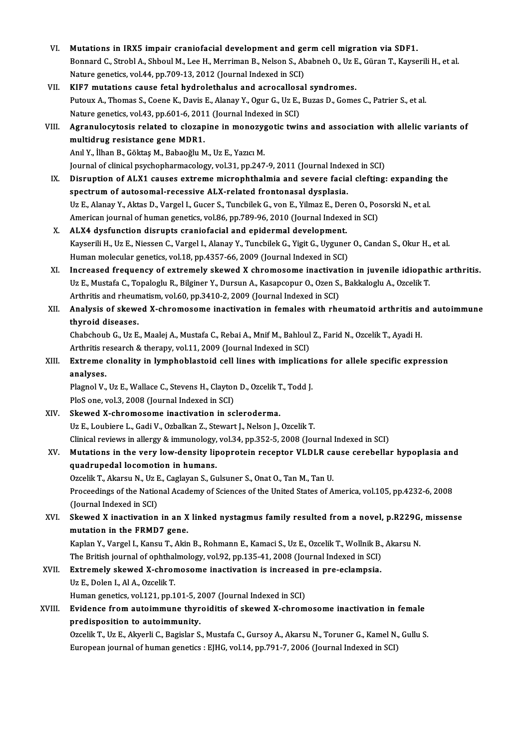VI. Mutations in IRX5 impair craniofacial development and germ cell migration via SDF1.<br>Pennard G. Strebl A. Shhoul M. Lee H. Menuman B. Neken S. Abebneb O. Ug E. Günen T. Veyse Bonnard C., Strobl A., Shboul M., Lee H., Merriman B., Nelson S., Ababneh O., Uz E., Güran T., Kayserili H., et al.<br>Nature genetics, vol.44, pp.709-13, 2012 (Journal Indexed in SCI) Mutations in IRX5 impair craniofacial development and ge<br>Bonnard C., Strobl A., Shboul M., Lee H., Merriman B., Nelson S., Ab<br>Nature genetics, vol.44, pp.709-13, 2012 (Journal Indexed in SCI)<br>KIE7 mutations sause fatal byd VII. KIF7 mutations cause fetal hydrolethalus and acrocallosal syndromes. Nature genetics, vol.44, pp.709-13, 2012 (Journal Indexed in SCI)<br>KIF7 mutations cause fetal hydrolethalus and acrocallosal syndromes.<br>Putoux A., Thomas S., Coene K., Davis E., Alanay Y., Ogur G., Uz E., Buzas D., Gomes C. KIF7 mutations cause fetal hydrolethalus and acrocallosa<br>Putoux A., Thomas S., Coene K., Davis E., Alanay Y., Ogur G., Uz E.,<br>Nature genetics, vol.43, pp.601-6, 2011 (Journal Indexed in SCI)<br>Agrapule sutasis related to cla Putoux A., Thomas S., Coene K., Davis E., Alanay Y., Ogur G., Uz E., Buzas D., Gomes C., Patrier S., et al.<br>Nature genetics, vol.43, pp.601-6, 2011 (Journal Indexed in SCI)<br>VIII. Agranulocytosis related to clozapine in mon Nature genetics, vol.43, pp.601-6, 201<br>Agranulocytosis related to clozap<br>multidrug resistance gene MDR1.<br>And Y. <sup>ilhon B.</sup> Göltas M. Pobacălu M Agranulocytosis related to clozapine in monozyg<br>multidrug resistance gene MDR1.<br>Anıl Y., İlhan B., Göktaş M., Babaoğlu M., Uz E., Yazıcı M.<br>Journal of clinical psychopharmaselogu val 31. pp.247 multidrug resistance gene MDR1.<br>Anıl Y., İlhan B., Göktaş M., Babaoğlu M., Uz E., Yazıcı M.<br>Journal of clinical psychopharmacology, vol.31, pp.247-9, 2011 (Journal Indexed in SCI) Anıl Y., İlhan B., Göktaş M., Babaoğlu M., Uz E., Yazıcı M.<br>Journal of clinical psychopharmacology, vol.31, pp.247-9, 2011 (Journal Indexed in SCI)<br>IX. Disruption of ALX1 causes extreme microphthalmia and severe facial cle Journal of clinical psychopharmacology, vol.31, pp.247-9, 2011 (Journal Index<br>Disruption of ALX1 causes extreme microphthalmia and severe facia<br>spectrum of autosomal-recessive ALX-related frontonasal dysplasia.<br>UnE Alanay Disruption of ALX1 causes extreme microphthalmia and severe facial clefting: expanding<br>spectrum of autosomal-recessive ALX-related frontonasal dysplasia.<br>Uz E., Alanay Y., Aktas D., Vargel I., Gucer S., Tuncbilek G., von E spectrum of autosomal-recessive ALX-related frontonasal dysplasia.<br>Uz E., Alanay Y., Aktas D., Vargel I., Gucer S., Tuncbilek G., von E., Yilmaz E., Deren O., Pos<br>American journal of human genetics, vol.86, pp.789-96, 2010 Uz E., Alanay Y., Aktas D., Vargel I., Gucer S., Tuncbilek G., von E., Yilmaz E., Der<br>American journal of human genetics, vol.86, pp.789-96, 2010 (Journal Indexe<br>X. ALX4 dysfunction disrupts craniofacial and epidermal deve American journal of human genetics, vol.86, pp.789-96, 2010 (Journal Indexed in SCI)<br>ALX4 dysfunction disrupts craniofacial and epidermal development.<br>Kayserili H., Uz E., Niessen C., Vargel I., Alanay Y., Tuncbilek G., Yi ALX4 dysfunction disrupts craniofacial and epidermal development.<br>Kayserili H., Uz E., Niessen C., Vargel I., Alanay Y., Tuncbilek G., Yigit G., Uyguner<br>Human molecular genetics, vol.18, pp.4357-66, 2009 (Journal Indexed i XI. Increased frequency of extremely skewed X chromosome inactivation in juvenile idiopathic arthritis. Human molecular genetics, vol.18, pp.4357-66, 2009 (Journal Indexed in SCI)<br>Increased frequency of extremely skewed X chromosome inactivation in juvenile idiopat<br>Uz E., Mustafa C., Topaloglu R., Bilginer Y., Dursun A., Kas Increased frequency of extremely skewed X chromosome inactivat<br>Uz E., Mustafa C., Topaloglu R., Bilginer Y., Dursun A., Kasapcopur O., Ozen S.<br>Arthritis and rheumatism, vol.60, pp.3410-2, 2009 (Journal Indexed in SCI)<br>Anal XII. Analysis of skewed X-chromosome inactivation in females with rheumatoid arthritis and autoimmune thyroid diseases. Arthritis and rheumatism, vol.60, pp.3410-2, 2009 (Journal Indexed in SCI) Analysis of skewed X-chromosome inactivation in females with rheumatoid arthritis an<br>thyroid diseases.<br>Chabchoub G., Uz E., Maalej A., Mustafa C., Rebai A., Mnif M., Bahloul Z., Farid N., Ozcelik T., Ayadi H.<br>Arthritis res thyroid diseases.<br>Chabchoub G., Uz E., Maalej A., Mustafa C., Rebai A., Mnif M., Bahloul<br>Arthritis research & therapy, vol.11, 2009 (Journal Indexed in SCI)<br>Extreme clanality in lymphablasteid, sell lines with impliest: Chabchoub G., Uz E., Maalej A., Mustafa C., Rebai A., Mnif M., Bahloul Z., Farid N., Ozcelik T., Ayadi H.<br>Arthritis research & therapy, vol.11, 2009 (Journal Indexed in SCI)<br>XIII. Extreme clonality in lymphoblastoid cell l Arthritis research & therapy, vol.11, 2009 (Journal Indexed in SCI)<br>Extreme clonality in lymphoblastoid cell lines with implicat<br>analyses. Extreme clonality in lymphoblastoid cell lines with implicati<br>analyses.<br>Plagnol V., Uz E., Wallace C., Stevens H., Clayton D., Ozcelik T., Todd J.<br>PlaS ana.yal 3, 2008 (Jaurnal Indaved in SCD) Plagnol V., Uz E., Wallace C., Stevens H., Clayton D., Ozcelik T., Todd J.<br>PloS one, vol.3, 2008 (Journal Indexed in SCI) XIV. Skewed X-chromosome inactivation in scleroderma. Uz E., Loubiere L., Gadi V., Ozbalkan Z., Stewart J., Nelson J., Ozcelik T. Clinical reviews inalergy&immunology,vol.34,pp.352-5,2008 (Journal Indexed inSCI) Uz E., Loubiere L., Gadi V., Ozbalkan Z., Stewart J., Nelson J., Ozcelik T.<br>Clinical reviews in allergy & immunology, vol.34, pp.352-5, 2008 (Journal Indexed in SCI)<br>XV. Mutations in the very low-density lipoprotein recept Clinical reviews in allergy & immunology,<br>Mutations in the very low-density lip<br>quadrupedal locomotion in humans.<br>Orgalik T. Altareu N. Hr E. Coglaven S. G. Mutations in the very low-density lipoprotein receptor VLDLR ca<br>quadrupedal locomotion in humans.<br>Ozcelik T., Akarsu N., Uz E., Caglayan S., Gulsuner S., Onat O., Tan M., Tan U.<br>Preseedings of the National Agademy of Scien quadrupedal locomotion in humans.<br>Ozcelik T., Akarsu N., Uz E., Caglayan S., Gulsuner S., Onat O., Tan M., Tan U.<br>Proceedings of the National Academy of Sciences of the United States of America, vol.105, pp.4232-6, 2008<br>(J Ozcelik T., Akarsu N., Uz I<br>Proceedings of the Natio:<br>(Journal Indexed in SCI)<br>Slowed X inostivation Proceedings of the National Academy of Sciences of the United States of America, vol.105, pp.4232-6, 2008<br>(Journal Indexed in SCI)<br>XVI. Skewed X inactivation in an X linked nystagmus family resulted from a novel, p.R229G, (Journal Indexed in SCI)<br>Skewed X inactivation in an X<br>mutation in the FRMD7 gene.<br>Kaplan X, Vargel J, Kapeu T, Akir Skewed X inactivation in an X linked nystagmus family resulted from a novel, p.R229G,<br>mutation in the FRMD7 gene.<br>Kaplan Y., Vargel I., Kansu T., Akin B., Rohmann E., Kamaci S., Uz E., Ozcelik T., Wollnik B., Akarsu N.<br>The mutation in the FRMD7 gene.<br>Kaplan Y., Vargel I., Kansu T., Akin B., Rohmann E., Kamaci S., Uz E., Ozcelik T., Wollnik B., Akarsu N.<br>The British journal of ophthalmology, vol.92, pp.135-41, 2008 (Journal Indexed in SCI) Kaplan Y., Vargel I., Kansu T., Akin B., Rohmann E., Kamaci S., Uz E., Ozcelik T., Wollnik B.<br>The British journal of ophthalmology, vol.92, pp.135-41, 2008 (Journal Indexed in SCI)<br>XVII. Extremely skewed X-chromosome inact The British journal of ophthal<br>Extremely skewed X-chror<br>Uz E., Dolen I., Al A., Ozcelik T.<br>Human genetics vol 121 nn 1 Extremely skewed X-chromosome inactivation is increased<br>Uz E., Dolen I., Al A., Ozcelik T.<br>Human genetics, vol.121, pp.101-5, 2007 (Journal Indexed in SCI)<br>Evidence from autoimmune thypeiditic of skewed Y shrom Uz E., Dolen I., Al A., Ozcelik T.<br>Human genetics, vol.121, pp.101-5, 2007 (Journal Indexed in SCI)<br>XVIII. Evidence from autoimmune thyroiditis of skewed X-chromosome inactivation in female<br>predisposition to autoimmunity. Human genetics, vol.121, pp.101-5, 2007 (Journal Indexed in SCI) Evidence from autoimmune thyroiditis of skewed X-chromosome inactivation in female<br>predisposition to autoimmunity.<br>Ozcelik T., Uz E., Akyerli C., Bagislar S., Mustafa C., Gursoy A., Akarsu N., Toruner G., Kamel N., Gullu S predisposition to autoimmunity.<br>Ozcelik T., Uz E., Akyerli C., Bagislar S., Mustafa C., Gursoy A., Akarsu N., Toruner G., Kamel N.,<br>European journal of human genetics : EJHG, vol.14, pp.791-7, 2006 (Journal Indexed in SCI)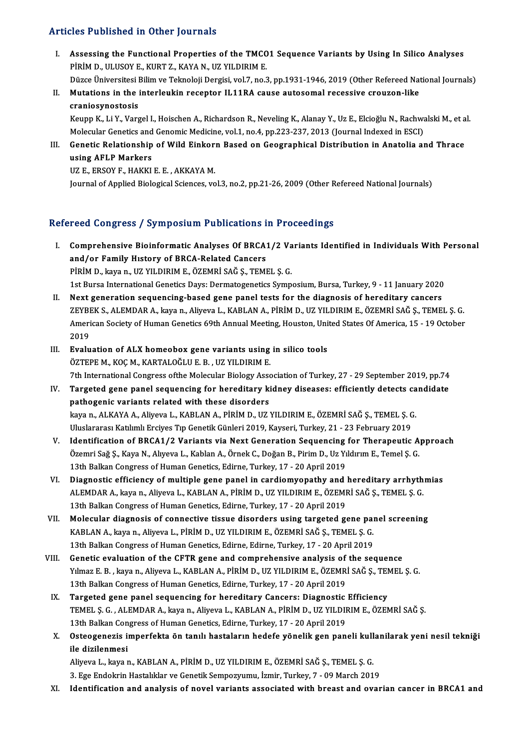#### Articles Published in Other Journals

- I. Assessing the Functional Properties of the TMCO1 Sequence Variants by Using In Silico Analyses<br>I. Assessing the Functional Properties of the TMCO1 Sequence Variants by Using In Silico Analyses<br>Ripin D. III USOVE, KURT 7 MED TUDINDICU IN CENDI JOUTHULD<br>Assessing the Functional Properties of the TMCO<br>PİRİM D., ULUSOY E., KURT Z., KAYA N., UZ YILDIRIM E.<br>Dürge Üniversitesi Bilim ve Telmeleji Dergisi vel 7 ne 5 Assessing the Functional Properties of the TMCO1 Sequence Variants by Using In Silico Analyses<br>PİRİM D., ULUSOY E., KURT Z., KAYA N., UZ YILDIRIM E.<br>Düzce Üniversitesi Bilim ve Teknoloji Dergisi, vol.7, no.3, pp.1931-1946,
	-
- PIRIM D., ULUSOY E., KURT Z., KAYA N., UZ YILDIRIM E.<br>Düzce Üniversitesi Bilim ve Teknoloji Dergisi, vol.7, no.3, pp.1931-1946, 2019 (Other Refereed Nat<br>II. Mutations in the interleukin receptor IL11RA cause autosomal rece Düzce Üniversitesi I<br>Mutations in the<br>craniosynostosis<br>Kaunn K. Li V. Vare

craniosynostosis<br>Keupp K., Li Y., Vargel I., Hoischen A., Richardson R., Neveling K., Alanay Y., Uz E., Elcioğlu N., Rachwalski M., et al. craniosynostosis<br>Keupp K., Li Y., Vargel I., Hoischen A., Richardson R., Neveling K., Alanay Y., Uz E., Elcioğlu N., Rachwa<br>Molecular Genetics and Genomic Medicine, vol.1, no.4, pp.223-237, 2013 (Journal Indexed in ESCI)<br>C

III. Genetic Relationship of Wild Einkorn Based on Geographical Distribution in Anatolia and Thrace using AFLP Markers Molecular Genetics and<br>Genetic Relationship<br>using AFLP Markers<br>UZE EDSOVE HAVVI

UZ E., ERSOY F., HAKKI E. E., AKKAYA M.

Journal of Applied Biological Sciences, vol.3, no.2, pp.21-26, 2009 (Other Refereed National Journals)

### Refereed Congress / Symposium Publications in Proceedings

- efereed Congress / Symposium Publications in Proceedings<br>I. Comprehensive Bioinformatic Analyses Of BRCA1/2 Variants Identified in Individuals With Personal Comprehensive Bioinformatic Analyses Of BRCA:<br>and/or Family History of BRCA-Related Cancers<br>pipim D. Jrave P. JJZ VII DIPIM E. ÖZEMPİ SAĞ S. TEMI Comprehensive Bioinformatic Analyses Of BRCA1/2 Va<br>and/or Family History of BRCA-Related Cancers<br>PİRİM D., kaya n., UZ YILDIRIM E., ÖZEMRİ SAĞ Ş., TEMEL Ş. G.<br>1st Burga International Canatics Devey Dermategenetics Symn and/or Family History of BRCA-Related Cancers<br>PİRİM D., kaya n., UZ YILDIRIM E., ÖZEMRİ SAĞ Ş., TEMEL Ş. G.<br>1st Bursa International Genetics Days: Dermatogenetics Symposium, Bursa, Turkey, 9 - 11 January 2020
- II. Next generation sequencing-based gene panel tests for the diagnosis of hereditary cancers 1st Bursa International Genetics Days: Dermatogenetics Symposium, Bursa, Turkey, 9 - 11 January 2020<br>Next generation sequencing-based gene panel tests for the diagnosis of hereditary cancers<br>ZEYBEK S., ALEMDAR A., kaya n., Next generation sequencing-based gene panel tests for the diagnosis of hereditary cancers<br>ZEYBEK S., ALEMDAR A., kaya n., Aliyeva L., KABLAN A., PİRİM D., UZ YILDIRIM E., ÖZEMRİ SAĞ Ş., TEMEL Ş. G.<br>American Society of Huma ZEYBI<br>Ameri<br>2019<br>Evalu American Society of Human Genetics 69th Annual Meeting, Houston, Uni<br>2019<br>III. Evaluation of ALX homeobox gene variants using in silico tools<br>67TEPE M, *VOCM, VARTALOČLUE B*, JIZ VU DIPIM E
- 2019<br><mark>Evaluation of ALX homeobox gene variants using</mark><br>ÖZTEPE M., KOÇ M., KARTALOĞLU E. B. , UZ YILDIRIM E.<br><sup>7th International Congress efthe Melegular Biology Asse</sup> Evaluation of ALX homeobox gene variants using in silico tools<br>ÖZTEPE M., KOÇ M., KARTALOĞLU E. B. , UZ YILDIRIM E.<br>7th International Congress ofthe Molecular Biology Association of Turkey, 27 - 29 September 2019, pp.74<br>Ta
- ÖZTEPE M., KOÇ M., KARTALOĞLU E. B. , UZ YILDIRIM E.<br>7th International Congress of the Molecular Biology Association of Turkey, 27 29 September 2019, pp.74<br>IV. Targeted gene panel sequencing for hereditary kidney disease 7th International Congress of the Molecular Biology Asso<br>Targeted gene panel sequencing for hereditary kipathogenic variants related with these disorders<br>Jeven P. ALKAYA A. Aliveva L. KABLAN A. PIPIM D. LIZ Targeted gene panel sequencing for hereditary kidney diseases: efficiently detects ca<br>pathogenic variants related with these disorders<br>kaya n., ALKAYA A., Aliyeva L., KABLAN A., PİRİM D., UZ YILDIRIM E., ÖZEMRİ SAĞ Ş., TEM pathogenic variants related with these disorders<br>kaya n., ALKAYA A., Aliyeva L., KABLAN A., PİRİM D., UZ YILDIRIM E., ÖZEMRİ SAĞ Ş., TEMEL Ş. G<br>Uluslararası Katılımlı Erciyes Tıp Genetik Günleri 2019, Kayseri, Turkey, 21 kaya n., ALKAYA A., Aliyeva L., KABLAN A., PİRİM D., UZ YILDIRIM E., ÖZEMRİ SAĞ Ş., TEMEL Ş. G.<br>Uluslararası Katılımlı Erciyes Tıp Genetik Günleri 2019, Kayseri, Turkey, 21 - 23 February 2019<br>V. Identification of BRCA1/2 V
- Uluslararası Katılımlı Erciyes Tıp Genetik Günleri 2019, Kayseri, Turkey, 21 23 February 2019<br>Identification of BRCA1/2 Variants via Next Generation Sequencing for Therapeutic A<br>Özemri Sağ Ş., Kaya N., Alıyeva L., Kablan Identification of BRCA1/2 Variants via Next Generation Sequencing<br>Özemri Sağ Ş., Kaya N., Alıyeva L., Kablan A., Örnek C., Doğan B., Pirim D., Uz Yı<br>13th Balkan Congress of Human Genetics, Edirne, Turkey, 17 - 20 April 201 Özemri Sağ Ş., Kaya N., Alıyeva L., Kablan A., Örnek C., Doğan B., Pirim D., Uz Yıldırım E., Temel Ş. G.<br>13th Balkan Congress of Human Genetics, Edirne, Turkey, 17 - 20 April 2019<br>VI. Diagnostic efficiency of multiple gene
- 13th Balkan Congress of Human Genetics, Edirne, Turkey, 17 20 April 2019<br>Diagnostic efficiency of multiple gene panel in cardiomyopathy and hereditary arrhyth<br>ALEMDAR A., kaya n., Aliyeva L., KABLAN A., PİRİM D., UZ YILD Diagnostic efficiency of multiple gene panel in cardiomyopathy and<br>ALEMDAR A., kaya n., Aliyeva L., KABLAN A., PİRİM D., UZ YILDIRIM E., ÖZEMI<br>13th Balkan Congress of Human Genetics, Edirne, Turkey, 17 - 20 April 2019<br>Mele ALEMDAR A., kaya n., Aliyeva L., KABLAN A., PİRİM D., UZ YILDIRIM E., ÖZEMRİ SAĞ Ş., TEMEL Ş. G.<br>13th Balkan Congress of Human Genetics, Edirne, Turkey, 17 - 20 April 2019<br>VII. Molecular diagnosis of connective tissue diso
- 13th Balkan Congress of Human Genetics, Edirne, Turkey, 17 20 April 2019<br>Molecular diagnosis of connective tissue disorders using targeted gene pai<br>KABLAN A., kaya n., Aliyeva L., PİRİM D., UZ YILDIRIM E., ÖZEMRİ SAĞ Ş., Molecular diagnosis of connective tissue disorders using targeted gene pair<br>KABLAN A., kaya n., Aliyeva L., PİRİM D., UZ YILDIRIM E., ÖZEMRİ SAĞ Ş., TEMEL Ş. G.<br>13th Balkan Congress of Human Genetics, Edirne, Edirne, Turke KABLAN A., kaya n., Aliyeva L., PİRİM D., UZ YILDIRIM E., ÖZEMRİ SAĞ Ş., TEMEL Ş. G.<br>13th Balkan Congress of Human Genetics, Edirne, Edirne, Turkey, 17 - 20 April 2019<br>VIII. Genetic evaluation of the CFTR gene and comprehe
- 13th Balkan Congress of Human Genetics, Edirne, Edirne, Turkey, 17 20 April 2019<br>Genetic evaluation of the CFTR gene and comprehensive analysis of the sequence<br>Yılmaz E. B., kayan., Aliyeva L., KABLAN A., PİRİM D., UZ YI Genetic evaluation of the CFTR gene and comprehensive analysis of<br>Yılmaz E. B. , kaya n., Aliyeva L., KABLAN A., PİRİM D., UZ YILDIRIM E., ÖZEMR<br>13th Balkan Congress of Human Genetics, Edirne, Turkey, 17 - 20 April 2019<br>Ta Yılmaz E. B., kaya n., Aliyeva L., KABLAN A., PİRİM D., UZ YILDIRIM E., ÖZEMRİ SAĞ Ş., TEM<br>13th Balkan Congress of Human Genetics, Edirne, Turkey, 17 - 20 April 2019<br>IX. Targeted gene panel sequencing for hereditary Cancer
- TEMEL Ş. G. , ALEMDAR A., kaya n., Aliyeva L., KABLAN A., PİRİM D., UZ YILDIRIM E., ÖZEMRİ SAĞ Ş.<br>13th Balkan Congress of Human Genetics, Edirne, Turkey, 17 20 April 2019 Targeted gene panel sequencing for hereditary Cancers: Diagnostic<br>TEMEL Ş. G. , ALEMDAR A., kaya n., Aliyeva L., KABLAN A., PİRİM D., UZ YILDII<br>13th Balkan Congress of Human Genetics, Edirne, Turkey, 17 - 20 April 2019<br>Ost TEMEL Ş. G. , ALEMDAR A., kaya n., Aliyeva L., KABLAN A., PİRİM D., UZ YILDIRIM E., ÖZEMRİ SAĞ Ş.<br>13th Balkan Congress of Human Genetics, Edirne, Turkey, 17 - 20 April 2019<br>X. Osteogenezis imperfekta ön tanılı hastaların h
- 13th Balkan Con<br>Osteogenezis in<br>ile dizilenmesi<br>Aliyoya Lakaya y Osteogenezis imperfekta ön tanılı hastaların hedefe yönelik gen paneli kull<br>ile dizilenmesi<br>Aliyeva L., kaya n., KABLAN A., PİRİM D., UZ YILDIRIM E., ÖZEMRİ SAĞ Ş., TEMEL Ş. G.<br>2. Ege Endelmin Hestelliler ve Cenetik Semneg ile dizilenmesi<br>Aliyeva L., kaya n., KABLAN A., PİRİM D., UZ YILDIRIM E., ÖZEMRİ SAĞ Ş., TEMEL Ş. G.<br>3. Ege Endokrin Hastalıklar ve Genetik Sempozyumu, İzmir, Turkey, 7 - 09 March 2019

XI. Identification and analysis of novel variants associated with breast and ovarian cancer in BRCA1 and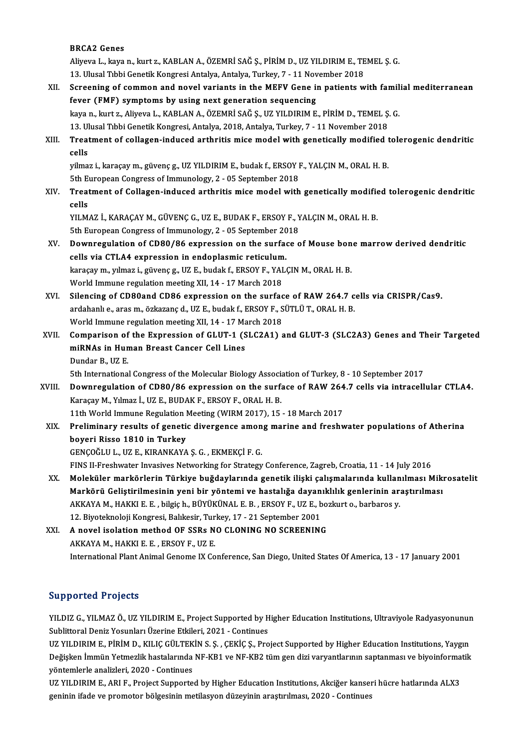#### BRCA2 Genes

BRCA2 Genes<br>Aliyeva L., kaya n., kurt z., KABLAN A., ÖZEMRİ SAĞ Ş., PİRİM D., UZ YILDIRIM E., TEMEL Ş. G.<br>13. Ulucal Tıbbi Canatil: Kangnesi Antalya, Antalya, Turkey, 7., 11 Nevember 2018 BRCA2 Genes<br>Aliyeva L., kaya n., kurt z., KABLAN A., ÖZEMRİ SAĞ Ş., PİRİM D., UZ YILDIRIM E., TE<br>13. Ulusal Tıbbi Genetik Kongresi Antalya, Antalya, Turkey, 7 - 11 November 2018<br>Saneoning of sommon and novel variante in th Aliyeva L., kaya n., kurt z., KABLAN A., ÖZEMRİ SAĞ Ş., PİRİM D., UZ YILDIRIM E., TEMEL Ş. G.<br>13. Ulusal Tıbbi Genetik Kongresi Antalya, Antalya, Turkey, 7 - 11 November 2018<br>XII. Screening of common and novel variants in

## 13. Ulusal Tibbi Genetik Kongresi Antalya, Antalya, Turkey, 7 - 11 November 2018<br>Screening of common and novel variants in the MEFV Gene in patients v<br>fever (FMF) symptoms by using next generation sequencing Screening of common and novel variants in the MEFV Gene in patients with famil<br>fever (FMF) symptoms by using next generation sequencing<br>kaya n., kurt z., Aliyeva L., KABLAN A., ÖZEMRİ SAĞ Ş., UZ YILDIRIM E., PİRİM D., TEME kaya n., kurt z., Aliyeva L., KABLAN A., ÖZEMRİ SAĞ Ş., UZ YILDIRIM E., PİRİM D., TEMEL Ş. G.

## kaya n., kurt z., Aliyeva L., KABLAN A., ÖZEMRİ SAĞ Ş., UZ YILDIRIM E., PİRİM D., TEMEL Ş. G.<br>13. Ulusal Tıbbi Genetik Kongresi, Antalya, 2018, Antalya, Turkey, 7 - 11 November 2018<br>XIII. Treatment of collagen-induced 13. Ulusal Tibbi Genetik Kongresi, Antalya, 2018, Antalya, Turkey, 7 - 11 November 2018<br>Treatment of collagen-induced arthritis mice model with genetically modified<br>cells Treatment of collagen-induced arthritis mice model with genetically modified t<br>cells<br>yilmaz i., karaçay m., güvenç g., UZ YILDIRIM E., budak f., ERSOY F., YALÇIN M., ORAL H. B.<br>Eth Euroneen Congress of Immunelegy, 2, 05 Se

yilmaz i., karaçay m., güvenç g., UZ YILDIRIM E., budak f., ERSOY F., YALÇIN M., ORAL H. B. 5th European Congress of Immunology, 2 - 05 September 2018

## XIV. Treatment of Collagen-induced arthritis mice model with genetically modified tolerogenic dendritic cells Treatment of Collagen-induced arthritis mice model with genetically modifie<br>cells<br>YILMAZ İ., KARAÇAY M., GÜVENÇ G., UZ E., BUDAK F., ERSOY F., YALÇIN M., ORAL H. B.<br>Eth Euroneen Congrees of Immunelegy, 2., 05 Sentember 201

cells<br>YILMAZ İ., KARAÇAY M., GÜVENÇ G., UZ E., BUDAK F., ERSOY F., Y<br>5th European Congress of Immunology, 2 - 05 September 2018<br>Downnegylation of CD80.486 expression on the surface a 5th European Congress of Immunology, 2 - 05 September 2018

## XV. Downregulation of CD80/86 expression on the surface of Mouse bone marrow derived dendritic cells via CTLA4 expression in endoplasmic reticulum. Downregulation of CD80/86 expression on the surface of Mouse bon<br>cells via CTLA4 expression in endoplasmic reticulum.<br>karaçay m., yılmaz i., güvenç g., UZ E., budak f., ERSOY F., YALÇIN M., ORAL H. B.<br>World Immune regulati

cells via CTLA4 expression in endoplasmic reticulum<br>karaçay m., yılmaz i., güvenç g., UZ E., budak f., ERSOY F., YAI<br>World Immune regulation meeting XII, 14 - 17 March 2018<br>Silonging of CD80and CD86 eynnession on the surfe

karaçay m., yılmaz i., güvenç g., UZ E., budak f., ERSOY F., YALÇIN M., ORAL H. B.<br>World Immune regulation meeting XII, 14 - 17 March 2018<br>XVI. Silencing of CD80and CD86 expression on the surface of RAW 264.7 cells via CRI World Immune regulation meeting XII, 14 - 17 March 2018<br>Silencing of CD80and CD86 expression on the surface of RAW 264.7 c<br>ardahanlı e., aras m., özkazanç d., UZ E., budak f., ERSOY F., SÜTLÜ T., ORAL H. B.<br>World Immune re Silencing of CD80and CD86 expression on the surface<br>ardahanlı e., aras m., özkazanç d., UZ E., budak f., ERSOY F., S<br>World Immune regulation meeting XII, 14 - 17 March 2018<br>Comparison of the Expression of CLUT 1 (SLC2A1) s ardahanlı e., aras m., özkazanç d., UZ E., budak f., ERSOY F., SÜTLÜ T., ORAL H. B.<br>World Immune regulation meeting XII, 14 - 17 March 2018<br>XVII. Comparison of the Expression of GLUT-1 (SLC2A1) and GLUT-3 (SLC2A3) Genes an

## World Immune regulation meeting XII, 14 - 17 Ma<br>Comparison of the Expression of GLUT-1 (S<br>miRNAs in Human Breast Cancer Cell Lines<br>Dundar B, UZ E Comparison of<br>miRNAs in Hun<br>Dundar B., UZ E.<br>Eth International miRNAs in Human Breast Cancer Cell Lines<br>Dundar B., UZ E.<br>5th International Congress of the Molecular Biology Association of Turkey, 8 - 10 September 2017<br>Downnegy lation of CD80 (86 expression on the surface of BAW 264.7

Dundar B., UZ E.<br>5th International Congress of the Molecular Biology Association of Turkey, 8 - 10 September 2017<br>XVIII. Downregulation of CD80/86 expression on the surface of RAW 264.7 cells via intracellular CTLA4.<br>Karaç 5th International Congress of the Molecular Biology Associan<br>Downregulation of CD80/86 expression on the surface Karaçay M., Yılmaz İ., UZ E., BUDAK F., ERSOY F., ORAL H. B. Downregulation of CD80/86 expression on the surface of RAW 264<br>Karaçay M., Yılmaz İ., UZ E., BUDAK F., ERSOY F., ORAL H. B.<br>11th World Immune Regulation Meeting (WIRM 2017), 15 - 18 March 2017<br>Preliminary regults of senati

Karaçay M., Yılmaz İ., UZ E., BUDAK F., ERSOY F., ORAL H. B.<br>11th World Immune Regulation Meeting (WIRM 2017), 15 - 18 March 2017<br>XIX. Preliminary results of genetic divergence among marine and freshwater populations o 11th World Immune Regulation I<br>Preliminary results of genetic<br>boyeri Risso 1810 in Turkey<br>CENCOČLUJ - UZ E-KIRANKAYA Preliminary results of genetic divergence amon<br>boyeri Risso 1810 in Turkey<br>GENÇOĞLU L., UZ E., KIRANKAYA Ş. G. , EKMEKÇİ F. G.<br>EINS IL Encebunter Invasives Networking for Strategy boyeri Risso 1810 in Turkey<br>GENÇOĞLU L., UZ E., KIRANKAYA Ş. G. , EKMEKÇİ F. G.<br>FINS II-Freshwater Invasives Networking for Strategy Conference, Zagreb, Croatia, 11 - 14 July 2016<br>Meleküler markörlerin Türkiye buğdaylarınd

GENÇOĞLU L., UZ E., KIRANKAYA Ş. G. , EKMEKÇİ F. G.<br>FINS II-Freshwater Invasives Networking for Strategy Conference, Zagreb, Croatia, 11 - 14 July 2016<br>XX. Moleküler markörlerin Türkiye buğdaylarında genetik ilişki çal FINS II-Freshwater Invasives Networking for Strategy Conference, Zagreb, Croatia, 11 - 14 July 2016<br>Moleküler markörlerin Türkiye buğdaylarında genetik ilişki çalışmalarında kullanılması Miki<br>Markörü Geliştirilmesinin yeni Moleküler markörlerin Türkiye buğdaylarında genetik ilişki çalışmalarında kullan<br>Markörü Geliştirilmesinin yeni bir yöntemi ve hastalığa dayanıklılık genlerinin ar:<br>AKKAYA M., HAKKI E. E. , bilgiç h., BÜYÜKÜNAL E. B. , ERS Markörü Geliştirilmesinin yeni bir yöntemi ve hastalığa dayan<br>AKKAYA M., HAKKI E. E. , bilgiç h., BÜYÜKÜNAL E. B. , ERSOY F., UZ E., b<br>12. Biyoteknoloji Kongresi, Balıkesir, Turkey, 17 - 21 September 2001<br>A navel iselation AKKAYA M., HAKKI E. E. , bilgiç h., BÜYÜKÜNAL E. B. , ERSOY F., UZ E., bo:<br>12. Biyoteknoloji Kongresi, Balıkesir, Turkey, 17 - 21 September 2001<br>XXI. A novel isolation method OF SSRs NO CLONING NO SCREENING

12. Biyoteknoloji Kongresi, Balıkesir, Tur<br>A novel isolation method OF SSRs N<br>AKKAYA M., HAKKI E. E. , ERSOY F., UZ E.<br>International Blant Animal Conome IV Co AKKAYA M., HAKKI E. E. , ERSOY F., UZ E.<br>International Plant Animal Genome IX Conference, San Diego, United States Of America, 13 - 17 January 2001

### Supported Projects

Supported Projects<br>YILDIZ G., YILMAZ Ö., UZ YILDIRIM E., Project Supported by Higher Education Institutions, Ultraviyole Radyasyonunun<br>Sublittoral Daniz Yosunlar: Uzerine Etkilori, 2021, "Continues Supporteur Frojects<br>YILDIZ G., YILMAZ Ö., UZ YILDIRIM E., Project Supported by H<br>Sublittoral Deniz Yosunları Üzerine Etkileri, 2021 - Continues<br>UZ VILDIPIM E. BİRİM D., KILIÇ ÇÜLTEKİN S. S., ÇEKİÇ S. Pro YILDIZ G., YILMAZ Ö., UZ YILDIRIM E., Project Supported by Higher Education Institutions, Ultraviyole Radyasyonunur<br>Sublittoral Deniz Yosunları Üzerine Etkileri, 2021 - Continues<br>UZ YILDIRIM E., PİRİM D., KILIÇ GÜLTEKİN S.

Sublittoral Deniz Yosunları Üzerine Etkileri, 2021 - Continues<br>UZ YILDIRIM E., PİRİM D., KILIÇ GÜLTEKİN S. Ş. , ÇEKİÇ Ş., Project Supported by Higher Education Institutions, Yaygın<br>Değişken İmmün Yetmezlik hastalarında NF-UZ YILDIRIM E., PİRİM D., KILIÇ GÜLTEK<br>Değişken İmmün Yetmezlik hastalarında<br>yöntemlerle analizleri, 2020 - Continues<br>UZ VILDIPIM E. ABLE. Project Sunnerte Değişken İmmün Yetmezlik hastalarında NF-KB1 ve NF-KB2 tüm gen dizi varyantlarının saptanması ve biyoinforma<br>yöntemlerle analizleri, 2020 - Continues<br>UZ YILDIRIM E., ARI F., Project Supported by Higher Education Institutio

yöntemlerle analizleri, 2020 - Continues<br>UZ YILDIRIM E., ARI F., Project Supported by Higher Education Institutions, Akciğer kanseri hücre hatlarında ALX3<br>geninin ifade ve promotor bölgesinin metilasyon düzeyinin araştırıl